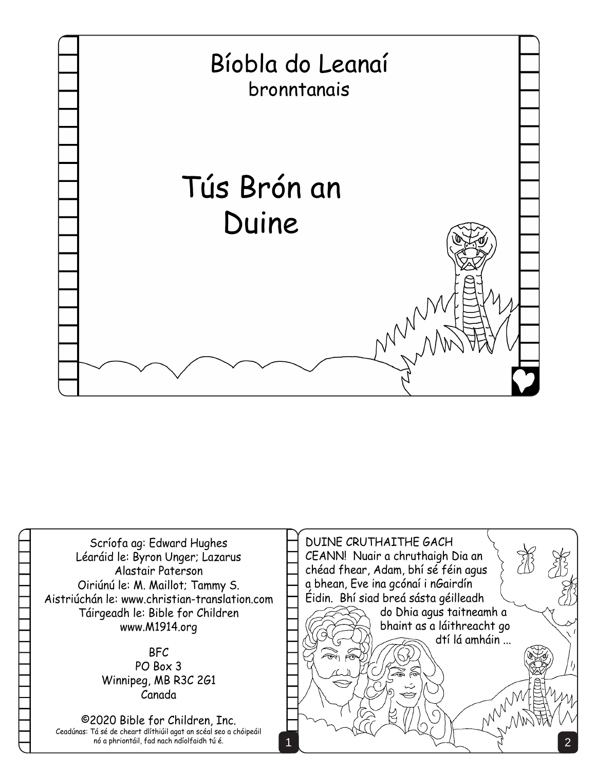

Scríofa ag: Edward Hughes Léaráid le: Byron Unger; Lazarus Alastair Paterson Oiriúnú le: M. Maillot; Tammy S. Aistriúchán le: www.christian-translation.com Táirgeadh le: Bible for Children www.M1914.org

## BFC PO Box 3 Winnipeg, MB R3C 2G1 Canada

©2020 Bible for Children, Inc. Ceadúnas: Tá sé de cheart dlíthiúil agat an scéal seo a chóipeáil nó a phriontáil, fad nach ndíolfaidh tú é.

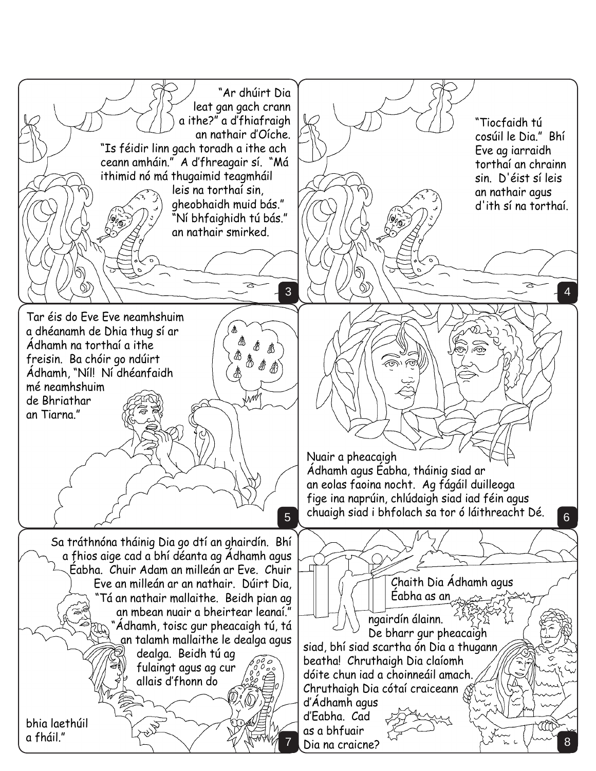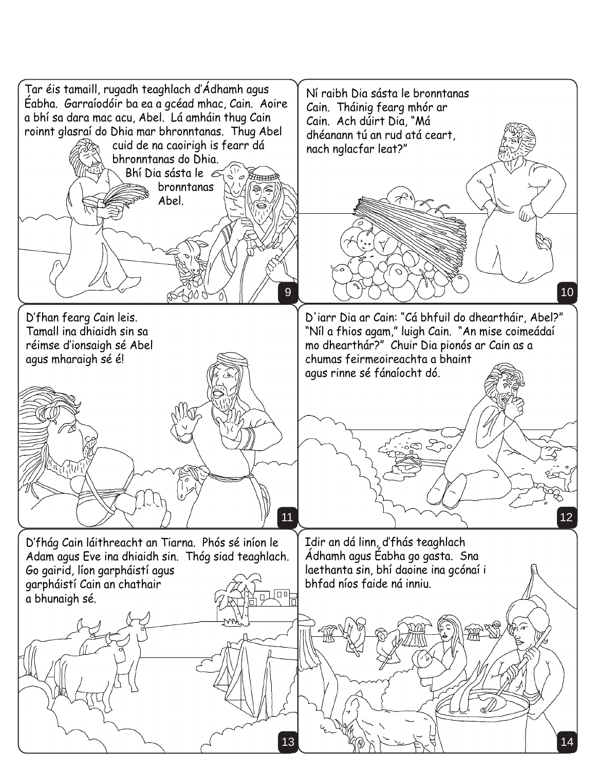